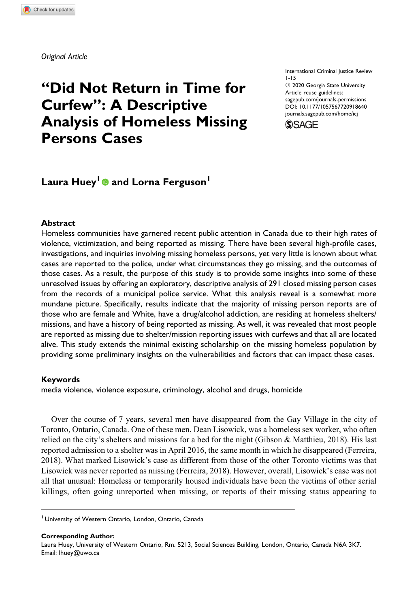# "Did Not Return in Time for Curfew": A Descriptive Analysis of Homeless Missing Persons Cases

International Criminal Justice Review 1-15 <sup>©</sup> 2020 Georgia State University Article reuse guidelines: [sagepub.com/journals-permissions](https://sagepub.com/journals-permissions) [DOI: 10.1177/1057567720918640](https://doi.org/10.1177/1057567720918640) [journals.sagepub.com/home/icj](http://journals.sagepub.com/home/icj)



# Laura Huey<sup>1</sup> and Lorna Ferguson<sup>1</sup>

#### Abstract

Homeless communities have garnered recent public attention in Canada due to their high rates of violence, victimization, and being reported as missing. There have been several high-profile cases, investigations, and inquiries involving missing homeless persons, yet very little is known about what cases are reported to the police, under what circumstances they go missing, and the outcomes of those cases. As a result, the purpose of this study is to provide some insights into some of these unresolved issues by offering an exploratory, descriptive analysis of 291 closed missing person cases from the records of a municipal police service. What this analysis reveal is a somewhat more mundane picture. Specifically, results indicate that the majority of missing person reports are of those who are female and White, have a drug/alcohol addiction, are residing at homeless shelters/ missions, and have a history of being reported as missing. As well, it was revealed that most people are reported as missing due to shelter/mission reporting issues with curfews and that all are located alive. This study extends the minimal existing scholarship on the missing homeless population by providing some preliminary insights on the vulnerabilities and factors that can impact these cases.

#### Keywords

media violence, violence exposure, criminology, alcohol and drugs, homicide

Over the course of 7 years, several men have disappeared from the Gay Village in the city of Toronto, Ontario, Canada. One of these men, Dean Lisowick, was a homeless sex worker, who often relied on the city's shelters and missions for a bed for the night (Gibson & Matthieu, 2018). His last reported admission to a shelter was in April 2016, the same month in which he disappeared (Ferreira, 2018). What marked Lisowick's case as different from those of the other Toronto victims was that Lisowick was never reported as missing (Ferreira, 2018). However, overall, Lisowick's case was not all that unusual: Homeless or temporarily housed individuals have been the victims of other serial killings, often going unreported when missing, or reports of their missing status appearing to

Corresponding Author:

<sup>1</sup> University of Western Ontario, London, Ontario, Canada

Laura Huey, University of Western Ontario, Rm. 5213, Social Sciences Building, London, Ontario, Canada N6A 3K7. Email: [lhuey@uwo.ca](mailto:lhuey@uwo.ca)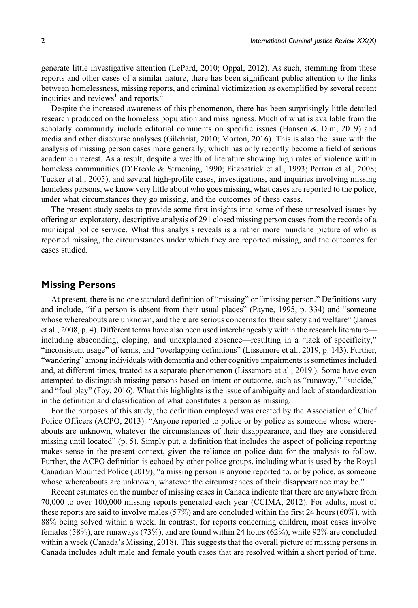generate little investigative attention (LePard, 2010; Oppal, 2012). As such, stemming from these reports and other cases of a similar nature, there has been significant public attention to the links between homelessness, missing reports, and criminal victimization as exemplified by several recent inquiries and reviews<sup>1</sup> and reports.<sup>2</sup>

Despite the increased awareness of this phenomenon, there has been surprisingly little detailed research produced on the homeless population and missingness. Much of what is available from the scholarly community include editorial comments on specific issues (Hansen & Dim, 2019) and media and other discourse analyses (Gilchrist, 2010; Morton, 2016). This is also the issue with the analysis of missing person cases more generally, which has only recently become a field of serious academic interest. As a result, despite a wealth of literature showing high rates of violence within homeless communities (D'Ercole & Struening, 1990; Fitzpatrick et al., 1993; Perron et al., 2008; Tucker et al., 2005), and several high-profile cases, investigations, and inquiries involving missing homeless persons, we know very little about who goes missing, what cases are reported to the police, under what circumstances they go missing, and the outcomes of these cases.

The present study seeks to provide some first insights into some of these unresolved issues by offering an exploratory, descriptive analysis of 291 closed missing person cases from the records of a municipal police service. What this analysis reveals is a rather more mundane picture of who is reported missing, the circumstances under which they are reported missing, and the outcomes for cases studied.

# Missing Persons

At present, there is no one standard definition of "missing" or "missing person." Definitions vary and include, "if a person is absent from their usual places" (Payne, 1995, p. 334) and "someone whose whereabouts are unknown, and there are serious concerns for their safety and welfare" (James et al., 2008, p. 4). Different terms have also been used interchangeably within the research literature including absconding, eloping, and unexplained absence—resulting in a "lack of specificity," "inconsistent usage" of terms, and "overlapping definitions" (Lissemore et al., 2019, p. 143). Further, "wandering" among individuals with dementia and other cognitive impairments is sometimes included and, at different times, treated as a separate phenomenon (Lissemore et al., 2019.). Some have even attempted to distinguish missing persons based on intent or outcome, such as "runaway," "suicide," and "foul play" (Foy, 2016). What this highlights is the issue of ambiguity and lack of standardization in the definition and classification of what constitutes a person as missing.

For the purposes of this study, the definition employed was created by the Association of Chief Police Officers (ACPO, 2013): "Anyone reported to police or by police as someone whose whereabouts are unknown, whatever the circumstances of their disappearance, and they are considered missing until located" (p. 5). Simply put, a definition that includes the aspect of policing reporting makes sense in the present context, given the reliance on police data for the analysis to follow. Further, the ACPO definition is echoed by other police groups, including what is used by the Royal Canadian Mounted Police (2019), "a missing person is anyone reported to, or by police, as someone whose whereabouts are unknown, whatever the circumstances of their disappearance may be."

Recent estimates on the number of missing cases in Canada indicate that there are anywhere from 70,000 to over 100,000 missing reports generated each year (CCIMA, 2012). For adults, most of these reports are said to involve males (57%) and are concluded within the first 24 hours (60%), with 88% being solved within a week. In contrast, for reports concerning children, most cases involve females (58%), are runaways (73%), and are found within 24 hours (62%), while 92% are concluded within a week (Canada's Missing, 2018). This suggests that the overall picture of missing persons in Canada includes adult male and female youth cases that are resolved within a short period of time.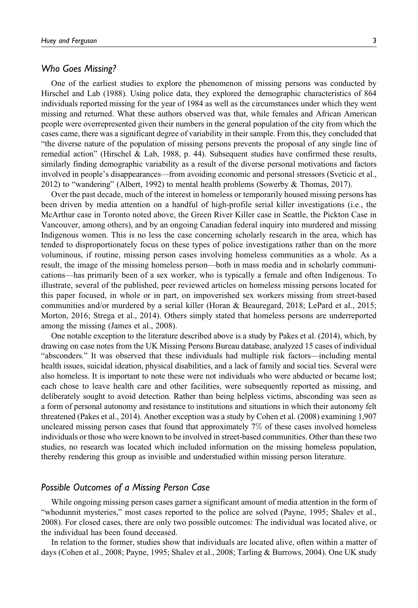#### Who Goes Missing?

One of the earliest studies to explore the phenomenon of missing persons was conducted by Hirschel and Lab (1988). Using police data, they explored the demographic characteristics of 864 individuals reported missing for the year of 1984 as well as the circumstances under which they went missing and returned. What these authors observed was that, while females and African American people were overrepresented given their numbers in the general population of the city from which the cases came, there was a significant degree of variability in their sample. From this, they concluded that "the diverse nature of the population of missing persons prevents the proposal of any single line of remedial action" (Hirschel & Lab, 1988, p. 44). Subsequent studies have confirmed these results, similarly finding demographic variability as a result of the diverse personal motivations and factors involved in people's disappearances—from avoiding economic and personal stressors (Sveticic et al., 2012) to "wandering" (Albert, 1992) to mental health problems (Sowerby & Thomas, 2017).

Over the past decade, much of the interest in homeless or temporarily housed missing persons has been driven by media attention on a handful of high-profile serial killer investigations (i.e., the McArthur case in Toronto noted above, the Green River Killer case in Seattle, the Pickton Case in Vancouver, among others), and by an ongoing Canadian federal inquiry into murdered and missing Indigenous women. This is no less the case concerning scholarly research in the area, which has tended to disproportionately focus on these types of police investigations rather than on the more voluminous, if routine, missing person cases involving homeless communities as a whole. As a result, the image of the missing homeless person—both in mass media and in scholarly communications—has primarily been of a sex worker, who is typically a female and often Indigenous. To illustrate, several of the published, peer reviewed articles on homeless missing persons located for this paper focused, in whole or in part, on impoverished sex workers missing from street-based communities and/or murdered by a serial killer (Horan & Beauregard, 2018; LePard et al., 2015; Morton, 2016; Strega et al., 2014). Others simply stated that homeless persons are underreported among the missing (James et al., 2008).

One notable exception to the literature described above is a study by Pakes et al. (2014), which, by drawing on case notes from the UK Missing Persons Bureau database, analyzed 15 cases of individual "absconders." It was observed that these individuals had multiple risk factors—including mental health issues, suicidal ideation, physical disabilities, and a lack of family and social ties. Several were also homeless. It is important to note these were not individuals who were abducted or became lost; each chose to leave health care and other facilities, were subsequently reported as missing, and deliberately sought to avoid detection. Rather than being helpless victims, absconding was seen as a form of personal autonomy and resistance to institutions and situations in which their autonomy felt threatened (Pakes et al., 2014). Another exception was a study by Cohen et al. (2008) examining 1,907 uncleared missing person cases that found that approximately 7% of these cases involved homeless individuals or those who were known to be involved in street-based communities. Other than these two studies, no research was located which included information on the missing homeless population, thereby rendering this group as invisible and understudied within missing person literature.

# Possible Outcomes of a Missing Person Case

While ongoing missing person cases garner a significant amount of media attention in the form of "whodunnit mysteries," most cases reported to the police are solved (Payne, 1995; Shalev et al., 2008). For closed cases, there are only two possible outcomes: The individual was located alive, or the individual has been found deceased.

In relation to the former, studies show that individuals are located alive, often within a matter of days (Cohen et al., 2008; Payne, 1995; Shalev et al., 2008; Tarling & Burrows, 2004). One UK study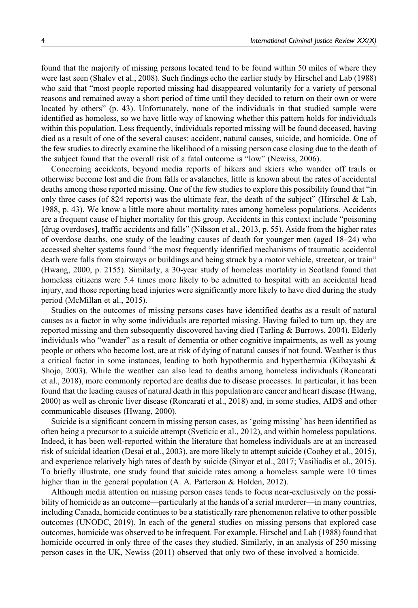found that the majority of missing persons located tend to be found within 50 miles of where they were last seen (Shalev et al., 2008). Such findings echo the earlier study by Hirschel and Lab (1988) who said that "most people reported missing had disappeared voluntarily for a variety of personal reasons and remained away a short period of time until they decided to return on their own or were located by others" (p. 43). Unfortunately, none of the individuals in that studied sample were identified as homeless, so we have little way of knowing whether this pattern holds for individuals within this population. Less frequently, individuals reported missing will be found deceased, having died as a result of one of the several causes: accident, natural causes, suicide, and homicide. One of the few studies to directly examine the likelihood of a missing person case closing due to the death of the subject found that the overall risk of a fatal outcome is "low" (Newiss, 2006).

Concerning accidents, beyond media reports of hikers and skiers who wander off trails or otherwise become lost and die from falls or avalanches, little is known about the rates of accidental deaths among those reported missing. One of the few studies to explore this possibility found that "in only three cases (of 824 reports) was the ultimate fear, the death of the subject" (Hirschel & Lab, 1988, p. 43). We know a little more about mortality rates among homeless populations. Accidents are a frequent cause of higher mortality for this group. Accidents in this context include "poisoning [drug overdoses], traffic accidents and falls" (Nilsson et al., 2013, p. 55). Aside from the higher rates of overdose deaths, one study of the leading causes of death for younger men (aged 18–24) who accessed shelter systems found "the most frequently identified mechanisms of traumatic accidental death were falls from stairways or buildings and being struck by a motor vehicle, streetcar, or train" (Hwang, 2000, p. 2155). Similarly, a 30-year study of homeless mortality in Scotland found that homeless citizens were 5.4 times more likely to be admitted to hospital with an accidental head injury, and those reporting head injuries were significantly more likely to have died during the study period (McMillan et al., 2015).

Studies on the outcomes of missing persons cases have identified deaths as a result of natural causes as a factor in why some individuals are reported missing. Having failed to turn up, they are reported missing and then subsequently discovered having died (Tarling & Burrows, 2004). Elderly individuals who "wander" as a result of dementia or other cognitive impairments, as well as young people or others who become lost, are at risk of dying of natural causes if not found. Weather is thus a critical factor in some instances, leading to both hypothermia and hyperthermia (Kibayashi & Shojo, 2003). While the weather can also lead to deaths among homeless individuals (Roncarati et al., 2018), more commonly reported are deaths due to disease processes. In particular, it has been found that the leading causes of natural death in this population are cancer and heart disease (Hwang, 2000) as well as chronic liver disease (Roncarati et al., 2018) and, in some studies, AIDS and other communicable diseases (Hwang, 2000).

Suicide is a significant concern in missing person cases, as 'going missing' has been identified as often being a precursor to a suicide attempt (Sveticic et al., 2012), and within homeless populations. Indeed, it has been well-reported within the literature that homeless individuals are at an increased risk of suicidal ideation (Desai et al., 2003), are more likely to attempt suicide (Coohey et al., 2015), and experience relatively high rates of death by suicide (Sinyor et al., 2017; Vasiliadis et al., 2015). To briefly illustrate, one study found that suicide rates among a homeless sample were 10 times higher than in the general population (A. A. Patterson & Holden, 2012).

Although media attention on missing person cases tends to focus near-exclusively on the possibility of homicide as an outcome—particularly at the hands of a serial murderer—in many countries, including Canada, homicide continues to be a statistically rare phenomenon relative to other possible outcomes (UNODC, 2019). In each of the general studies on missing persons that explored case outcomes, homicide was observed to be infrequent. For example, Hirschel and Lab (1988) found that homicide occurred in only three of the cases they studied. Similarly, in an analysis of 250 missing person cases in the UK, Newiss (2011) observed that only two of these involved a homicide.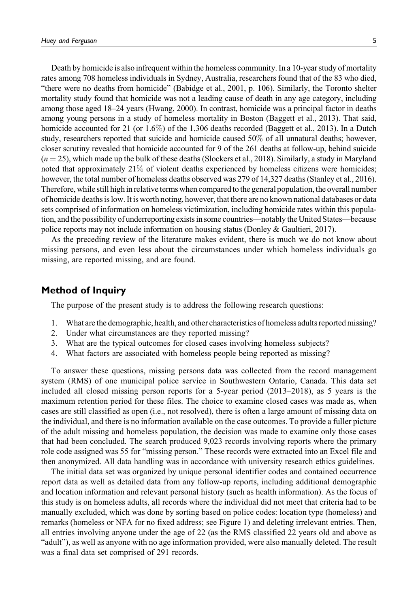Death by homicide is also infrequent within the homeless community. In a 10-year study of mortality rates among 708 homeless individuals in Sydney, Australia, researchers found that of the 83 who died, "there were no deaths from homicide" (Babidge et al., 2001, p. 106). Similarly, the Toronto shelter mortality study found that homicide was not a leading cause of death in any age category, including among those aged 18–24 years (Hwang, 2000). In contrast, homicide was a principal factor in deaths among young persons in a study of homeless mortality in Boston (Baggett et al., 2013). That said, homicide accounted for 21 (or 1.6%) of the 1,306 deaths recorded (Baggett et al., 2013). In a Dutch study, researchers reported that suicide and homicide caused 50% of all unnatural deaths; however, closer scrutiny revealed that homicide accounted for 9 of the 261 deaths at follow-up, behind suicide  $(n = 25)$ , which made up the bulk of these deaths (Slockers et al., 2018). Similarly, a study in Maryland noted that approximately 21% of violent deaths experienced by homeless citizens were homicides; however, the total number of homeless deaths observed was 279 of 14,327 deaths (Stanley et al., 2016). Therefore, while still high in relative terms when compared to the general population, the overall number of homicide deaths is low. It is worth noting, however, that there are no known national databases or data sets comprised of information on homeless victimization, including homicide rates within this population, and the possibility of underreporting exists in some countries—notably the United States—because police reports may not include information on housing status (Donley & Gaultieri, 2017).

As the preceding review of the literature makes evident, there is much we do not know about missing persons, and even less about the circumstances under which homeless individuals go missing, are reported missing, and are found.

# Method of Inquiry

The purpose of the present study is to address the following research questions:

- 1. What are the demographic, health, and other characteristics of homeless adults reported missing?
- 2. Under what circumstances are they reported missing?
- 3. What are the typical outcomes for closed cases involving homeless subjects?
- 4. What factors are associated with homeless people being reported as missing?

To answer these questions, missing persons data was collected from the record management system (RMS) of one municipal police service in Southwestern Ontario, Canada. This data set included all closed missing person reports for a 5-year period (2013–2018), as 5 years is the maximum retention period for these files. The choice to examine closed cases was made as, when cases are still classified as open (i.e., not resolved), there is often a large amount of missing data on the individual, and there is no information available on the case outcomes. To provide a fuller picture of the adult missing and homeless population, the decision was made to examine only those cases that had been concluded. The search produced 9,023 records involving reports where the primary role code assigned was 55 for "missing person." These records were extracted into an Excel file and then anonymized. All data handling was in accordance with university research ethics guidelines.

The initial data set was organized by unique personal identifier codes and contained occurrence report data as well as detailed data from any follow-up reports, including additional demographic and location information and relevant personal history (such as health information). As the focus of this study is on homeless adults, all records where the individual did not meet that criteria had to be manually excluded, which was done by sorting based on police codes: location type (homeless) and remarks (homeless or NFA for no fixed address; see Figure 1) and deleting irrelevant entries. Then, all entries involving anyone under the age of 22 (as the RMS classified 22 years old and above as "adult"), as well as anyone with no age information provided, were also manually deleted. The result was a final data set comprised of 291 records.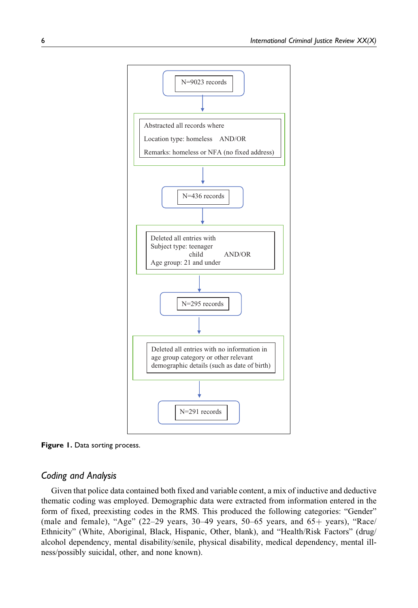



# Coding and Analysis

Given that police data contained both fixed and variable content, a mix of inductive and deductive thematic coding was employed. Demographic data were extracted from information entered in the form of fixed, preexisting codes in the RMS. This produced the following categories: "Gender" (male and female), "Age"  $(22-29 \text{ years}, 30-49 \text{ years}, 50-65 \text{ years}, \text{ and } 65+\text{ years}),$  "Race/ Ethnicity" (White, Aboriginal, Black, Hispanic, Other, blank), and "Health/Risk Factors" (drug/ alcohol dependency, mental disability/senile, physical disability, medical dependency, mental illness/possibly suicidal, other, and none known).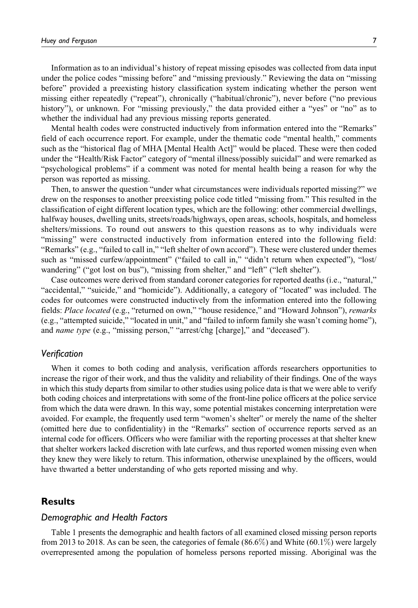Information as to an individual's history of repeat missing episodes was collected from data input under the police codes "missing before" and "missing previously." Reviewing the data on "missing before" provided a preexisting history classification system indicating whether the person went missing either repeatedly ("repeat"), chronically ("habitual/chronic"), never before ("no previous history"), or unknown. For "missing previously," the data provided either a "yes" or "no" as to whether the individual had any previous missing reports generated.

Mental health codes were constructed inductively from information entered into the "Remarks" field of each occurrence report. For example, under the thematic code "mental health," comments such as the "historical flag of MHA [Mental Health Act]" would be placed. These were then coded under the "Health/Risk Factor" category of "mental illness/possibly suicidal" and were remarked as "psychological problems" if a comment was noted for mental health being a reason for why the person was reported as missing.

Then, to answer the question "under what circumstances were individuals reported missing?" we drew on the responses to another preexisting police code titled "missing from." This resulted in the classification of eight different location types, which are the following: other commercial dwellings, halfway houses, dwelling units, streets/roads/highways, open areas, schools, hospitals, and homeless shelters/missions. To round out answers to this question reasons as to why individuals were "missing" were constructed inductively from information entered into the following field: "Remarks" (e.g., "failed to call in," "left shelter of own accord"). These were clustered under themes such as "missed curfew/appointment" ("failed to call in," "didn't return when expected"), "lost/ wandering" ("got lost on bus"), "missing from shelter," and "left" ("left shelter").

Case outcomes were derived from standard coroner categories for reported deaths (i.e., "natural," "accidental," "suicide," and "homicide"). Additionally, a category of "located" was included. The codes for outcomes were constructed inductively from the information entered into the following fields: Place located (e.g., "returned on own," "house residence," and "Howard Johnson"), remarks (e.g., "attempted suicide," "located in unit," and "failed to inform family she wasn't coming home"), and name type (e.g., "missing person," "arrest/chg [charge]," and "deceased").

# Verification

When it comes to both coding and analysis, verification affords researchers opportunities to increase the rigor of their work, and thus the validity and reliability of their findings. One of the ways in which this study departs from similar to other studies using police data is that we were able to verify both coding choices and interpretations with some of the front-line police officers at the police service from which the data were drawn. In this way, some potential mistakes concerning interpretation were avoided. For example, the frequently used term "women's shelter" or merely the name of the shelter (omitted here due to confidentiality) in the "Remarks" section of occurrence reports served as an internal code for officers. Officers who were familiar with the reporting processes at that shelter knew that shelter workers lacked discretion with late curfews, and thus reported women missing even when they knew they were likely to return. This information, otherwise unexplained by the officers, would have thwarted a better understanding of who gets reported missing and why.

# **Results**

# Demographic and Health Factors

Table 1 presents the demographic and health factors of all examined closed missing person reports from 2013 to 2018. As can be seen, the categories of female (86.6%) and White (60.1%) were largely overrepresented among the population of homeless persons reported missing. Aboriginal was the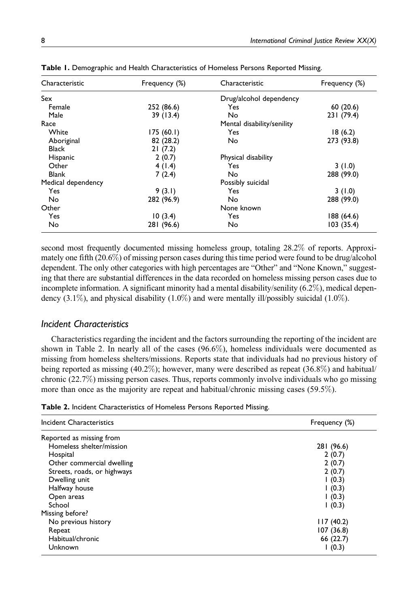| Characteristic     | Frequency (%) | Characteristic             | Frequency (%) |
|--------------------|---------------|----------------------------|---------------|
| Sex                |               | Drug/alcohol dependency    |               |
| Female             | 252 (86.6)    | Yes                        | 60(20.6)      |
| Male               | 39 (13.4)     | No                         | 231 (79.4)    |
| Race               |               | Mental disability/senility |               |
| White              | 175 (60.1)    | Yes                        | 18(6.2)       |
| Aboriginal         | 82 (28.2)     | No                         | 273 (93.8)    |
| <b>Black</b>       | 21(7.2)       |                            |               |
| Hispanic           | 2(0.7)        | Physical disability        |               |
| Other              | 4(1.4)        | Yes                        | 3(1.0)        |
| <b>Blank</b>       | 7(2.4)        | No                         | 288 (99.0)    |
| Medical dependency |               | Possibly suicidal          |               |
| Yes                | 9(3.1)        | Yes                        | 3(1.0)        |
| No                 | 282 (96.9)    | No                         | 288 (99.0)    |
| Other              |               | None known                 |               |
| Yes                | 10(3.4)       | Yes                        | 188 (64.6)    |
| No                 | 281 (96.6)    | No                         | 103(35.4)     |

Table 1. Demographic and Health Characteristics of Homeless Persons Reported Missing.

second most frequently documented missing homeless group, totaling 28.2% of reports. Approximately one fifth (20.6%) of missing person cases during this time period were found to be drug/alcohol dependent. The only other categories with high percentages are "Other" and "None Known," suggesting that there are substantial differences in the data recorded on homeless missing person cases due to incomplete information. A significant minority had a mental disability/senility (6.2%), medical dependency  $(3.1\%)$ , and physical disability  $(1.0\%)$  and were mentally ill/possibly suicidal  $(1.0\%)$ .

# Incident Characteristics

Characteristics regarding the incident and the factors surrounding the reporting of the incident are shown in Table 2. In nearly all of the cases (96.6%), homeless individuals were documented as missing from homeless shelters/missions. Reports state that individuals had no previous history of being reported as missing (40.2%); however, many were described as repeat (36.8%) and habitual/ chronic (22.7%) missing person cases. Thus, reports commonly involve individuals who go missing more than once as the majority are repeat and habitual/chronic missing cases (59.5%).

| Table 2. Incident Characteristics of Homeless Persons Reported Missing. |  |  |  |  |
|-------------------------------------------------------------------------|--|--|--|--|
|-------------------------------------------------------------------------|--|--|--|--|

| Incident Characteristics    | Frequency (%) |
|-----------------------------|---------------|
| Reported as missing from    |               |
| Homeless shelter/mission    | 281 (96.6)    |
| Hospital                    | 2(0.7)        |
| Other commercial dwelling   | 2(0.7)        |
| Streets, roads, or highways | 2(0.7)        |
| Dwelling unit               | 1(0.3)        |
| Halfway house               | (0.3)         |
| Open areas                  | 1(0.3)        |
| School                      | 1(0.3)        |
| Missing before?             |               |
| No previous history         | 117 (40.2)    |
| Repeat                      | 107 (36.8)    |
| Habitual/chronic            | 66 (22.7)     |
| Unknown                     | 1(0.3)        |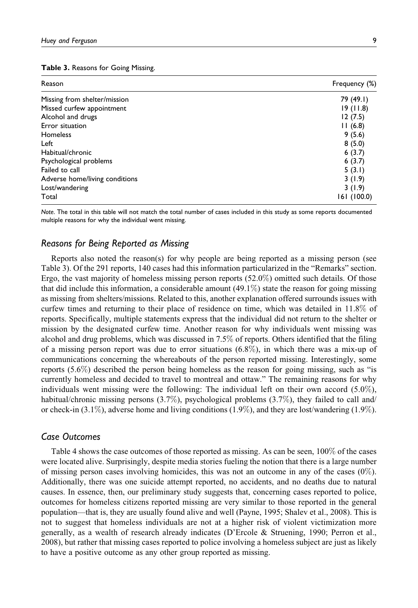#### Table 3. Reasons for Going Missing.

| Reason                         | Frequency (%) |  |
|--------------------------------|---------------|--|
| Missing from shelter/mission   | 79 (49.1)     |  |
| Missed curfew appointment      | 19(11.8)      |  |
| Alcohol and drugs              | 12(7.5)       |  |
| Error situation                | 11(6.8)       |  |
| Homeless                       | 9(5.6)        |  |
| Left                           | 8(5.0)        |  |
| Habitual/chronic               | 6(3.7)        |  |
| Psychological problems         | 6(3.7)        |  |
| Failed to call                 | 5(3.1)        |  |
| Adverse home/living conditions | 3(1.9)        |  |
| Lost/wandering                 | 3(1.9)        |  |
| Total                          | 161 (100.0)   |  |

Note. The total in this table will not match the total number of cases included in this study as some reports documented multiple reasons for why the individual went missing.

# Reasons for Being Reported as Missing

Reports also noted the reason(s) for why people are being reported as a missing person (see Table 3). Of the 291 reports, 140 cases had this information particularized in the "Remarks" section. Ergo, the vast majority of homeless missing person reports (52.0%) omitted such details. Of those that did include this information, a considerable amount  $(49.1\%)$  state the reason for going missing as missing from shelters/missions. Related to this, another explanation offered surrounds issues with curfew times and returning to their place of residence on time, which was detailed in 11.8% of reports. Specifically, multiple statements express that the individual did not return to the shelter or mission by the designated curfew time. Another reason for why individuals went missing was alcohol and drug problems, which was discussed in 7.5% of reports. Others identified that the filing of a missing person report was due to error situations (6.8%), in which there was a mix-up of communications concerning the whereabouts of the person reported missing. Interestingly, some reports (5.6%) described the person being homeless as the reason for going missing, such as "is currently homeless and decided to travel to montreal and ottaw." The remaining reasons for why individuals went missing were the following: The individual left on their own accord (5.0%), habitual/chronic missing persons (3.7%), psychological problems (3.7%), they failed to call and/ or check-in  $(3.1\%)$ , adverse home and living conditions  $(1.9\%)$ , and they are lost/wandering  $(1.9\%)$ .

# Case Outcomes

Table 4 shows the case outcomes of those reported as missing. As can be seen, 100% of the cases were located alive. Surprisingly, despite media stories fueling the notion that there is a large number of missing person cases involving homicides, this was not an outcome in any of the cases  $(0\%)$ . Additionally, there was one suicide attempt reported, no accidents, and no deaths due to natural causes. In essence, then, our preliminary study suggests that, concerning cases reported to police, outcomes for homeless citizens reported missing are very similar to those reported in the general population—that is, they are usually found alive and well (Payne, 1995; Shalev et al., 2008). This is not to suggest that homeless individuals are not at a higher risk of violent victimization more generally, as a wealth of research already indicates (D'Ercole & Struening, 1990; Perron et al., 2008), but rather that missing cases reported to police involving a homeless subject are just as likely to have a positive outcome as any other group reported as missing.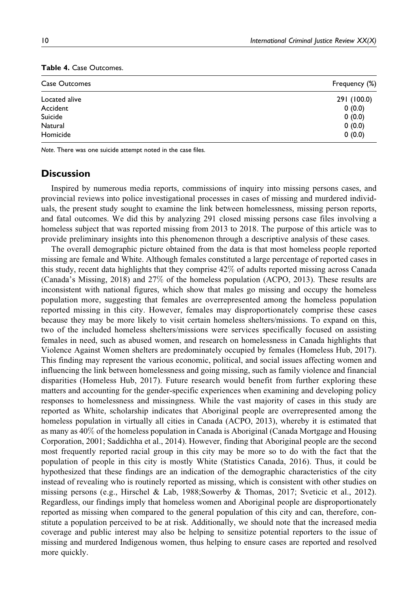| <b>Case Outcomes</b> | Frequency (%) |
|----------------------|---------------|
| Located alive        | 291 (100.0)   |
| Accident             | 0(0.0)        |
| Suicide              | 0(0.0)        |
| Natural              | 0(0.0)        |
| Homicide             | 0(0.0)        |

## Table 4. Case Outcomes.

Note. There was one suicide attempt noted in the case files.

# **Discussion**

Inspired by numerous media reports, commissions of inquiry into missing persons cases, and provincial reviews into police investigational processes in cases of missing and murdered individuals, the present study sought to examine the link between homelessness, missing person reports, and fatal outcomes. We did this by analyzing 291 closed missing persons case files involving a homeless subject that was reported missing from 2013 to 2018. The purpose of this article was to provide preliminary insights into this phenomenon through a descriptive analysis of these cases.

The overall demographic picture obtained from the data is that most homeless people reported missing are female and White. Although females constituted a large percentage of reported cases in this study, recent data highlights that they comprise 42% of adults reported missing across Canada (Canada's Missing, 2018) and 27% of the homeless population (ACPO, 2013). These results are inconsistent with national figures, which show that males go missing and occupy the homeless population more, suggesting that females are overrepresented among the homeless population reported missing in this city. However, females may disproportionately comprise these cases because they may be more likely to visit certain homeless shelters/missions. To expand on this, two of the included homeless shelters/missions were services specifically focused on assisting females in need, such as abused women, and research on homelessness in Canada highlights that Violence Against Women shelters are predominately occupied by females (Homeless Hub, 2017). This finding may represent the various economic, political, and social issues affecting women and influencing the link between homelessness and going missing, such as family violence and financial disparities (Homeless Hub, 2017). Future research would benefit from further exploring these matters and accounting for the gender-specific experiences when examining and developing policy responses to homelessness and missingness. While the vast majority of cases in this study are reported as White, scholarship indicates that Aboriginal people are overrepresented among the homeless population in virtually all cities in Canada (ACPO, 2013), whereby it is estimated that as many as 40% of the homeless population in Canada is Aboriginal (Canada Mortgage and Housing Corporation, 2001; Saddichha et al., 2014). However, finding that Aboriginal people are the second most frequently reported racial group in this city may be more so to do with the fact that the population of people in this city is mostly White (Statistics Canada, 2016). Thus, it could be hypothesized that these findings are an indication of the demographic characteristics of the city instead of revealing who is routinely reported as missing, which is consistent with other studies on missing persons (e.g., Hirschel & Lab, 1988;Sowerby & Thomas, 2017; Sveticic et al., 2012). Regardless, our findings imply that homeless women and Aboriginal people are disproportionately reported as missing when compared to the general population of this city and can, therefore, constitute a population perceived to be at risk. Additionally, we should note that the increased media coverage and public interest may also be helping to sensitize potential reporters to the issue of missing and murdered Indigenous women, thus helping to ensure cases are reported and resolved more quickly.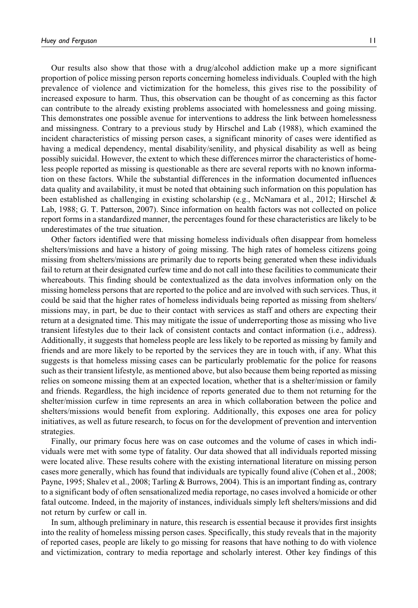Our results also show that those with a drug/alcohol addiction make up a more significant proportion of police missing person reports concerning homeless individuals. Coupled with the high prevalence of violence and victimization for the homeless, this gives rise to the possibility of increased exposure to harm. Thus, this observation can be thought of as concerning as this factor can contribute to the already existing problems associated with homelessness and going missing. This demonstrates one possible avenue for interventions to address the link between homelessness and missingness. Contrary to a previous study by Hirschel and Lab (1988), which examined the incident characteristics of missing person cases, a significant minority of cases were identified as having a medical dependency, mental disability/senility, and physical disability as well as being possibly suicidal. However, the extent to which these differences mirror the characteristics of homeless people reported as missing is questionable as there are several reports with no known information on these factors. While the substantial differences in the information documented influences data quality and availability, it must be noted that obtaining such information on this population has been established as challenging in existing scholarship (e.g., McNamara et al., 2012; Hirschel & Lab, 1988; G. T. Patterson, 2007). Since information on health factors was not collected on police report forms in a standardized manner, the percentages found for these characteristics are likely to be underestimates of the true situation.

Other factors identified were that missing homeless individuals often disappear from homeless shelters/missions and have a history of going missing. The high rates of homeless citizens going missing from shelters/missions are primarily due to reports being generated when these individuals fail to return at their designated curfew time and do not call into these facilities to communicate their whereabouts. This finding should be contextualized as the data involves information only on the missing homeless persons that are reported to the police and are involved with such services. Thus, it could be said that the higher rates of homeless individuals being reported as missing from shelters/ missions may, in part, be due to their contact with services as staff and others are expecting their return at a designated time. This may mitigate the issue of underreporting those as missing who live transient lifestyles due to their lack of consistent contacts and contact information (i.e., address). Additionally, it suggests that homeless people are less likely to be reported as missing by family and friends and are more likely to be reported by the services they are in touch with, if any. What this suggests is that homeless missing cases can be particularly problematic for the police for reasons such as their transient lifestyle, as mentioned above, but also because them being reported as missing relies on someone missing them at an expected location, whether that is a shelter/mission or family and friends. Regardless, the high incidence of reports generated due to them not returning for the shelter/mission curfew in time represents an area in which collaboration between the police and shelters/missions would benefit from exploring. Additionally, this exposes one area for policy initiatives, as well as future research, to focus on for the development of prevention and intervention strategies.

Finally, our primary focus here was on case outcomes and the volume of cases in which individuals were met with some type of fatality. Our data showed that all individuals reported missing were located alive. These results cohere with the existing international literature on missing person cases more generally, which has found that individuals are typically found alive (Cohen et al., 2008; Payne, 1995; Shalev et al., 2008; Tarling & Burrows, 2004). This is an important finding as, contrary to a significant body of often sensationalized media reportage, no cases involved a homicide or other fatal outcome. Indeed, in the majority of instances, individuals simply left shelters/missions and did not return by curfew or call in.

In sum, although preliminary in nature, this research is essential because it provides first insights into the reality of homeless missing person cases. Specifically, this study reveals that in the majority of reported cases, people are likely to go missing for reasons that have nothing to do with violence and victimization, contrary to media reportage and scholarly interest. Other key findings of this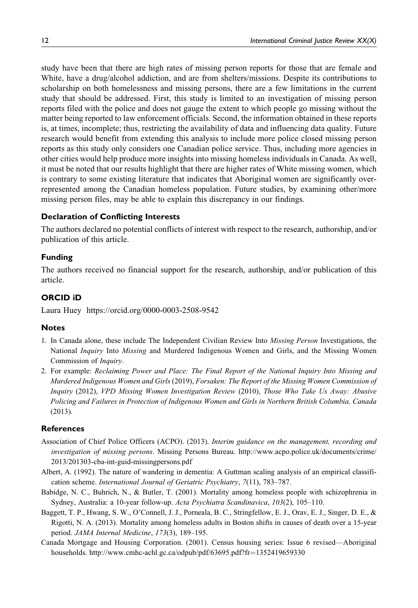study have been that there are high rates of missing person reports for those that are female and White, have a drug/alcohol addiction, and are from shelters/missions. Despite its contributions to scholarship on both homelessness and missing persons, there are a few limitations in the current study that should be addressed. First, this study is limited to an investigation of missing person reports filed with the police and does not gauge the extent to which people go missing without the matter being reported to law enforcement officials. Second, the information obtained in these reports is, at times, incomplete; thus, restricting the availability of data and influencing data quality. Future research would benefit from extending this analysis to include more police closed missing person reports as this study only considers one Canadian police service. Thus, including more agencies in other cities would help produce more insights into missing homeless individuals in Canada. As well, it must be noted that our results highlight that there are higher rates of White missing women, which is contrary to some existing literature that indicates that Aboriginal women are significantly overrepresented among the Canadian homeless population. Future studies, by examining other/more missing person files, may be able to explain this discrepancy in our findings.

# Declaration of Conflicting Interests

The authors declared no potential conflicts of interest with respect to the research, authorship, and/or publication of this article.

# Funding

The authors received no financial support for the research, authorship, and/or publication of this article.

# ORCID iD

Laura Huey<https://orcid.org/0000-0003-2508-9542>

# **Notes**

- 1. In Canada alone, these include The Independent Civilian Review Into *Missing Person* Investigations, the National Inquiry Into Missing and Murdered Indigenous Women and Girls, and the Missing Women Commission of Inquiry.
- 2. For example: Reclaiming Power and Place: The Final Report of the National Inquiry Into Missing and Murdered Indigenous Women and Girls (2019), Forsaken: The Report of the Missing Women Commission of Inquiry (2012), VPD Missing Women Investigation Review (2010), Those Who Take Us Away: Abusive Policing and Failures in Protection of Indigenous Women and Girls in Northern British Columbia, Canada (2013).

# **References**

- Association of Chief Police Officers (ACPO). (2013). Interim guidance on the management, recording and investigation of missing persons. Missing Persons Bureau. [http://www.acpo.police.uk/documents/crime/](http://www.acpo.police.uk/documents/crime/2013/201303-cba-int-guid-missingpersons.pdf) [2013/201303-cba-int-guid-missingpersons.pdf](http://www.acpo.police.uk/documents/crime/2013/201303-cba-int-guid-missingpersons.pdf)
- Albert, A. (1992). The nature of wandering in dementia: A Guttman scaling analysis of an empirical classification scheme. International Journal of Geriatric Psychiatry, 7(11), 783–787.
- Babidge, N. C., Buhrich, N., & Butler, T. (2001). Mortality among homeless people with schizophrenia in Sydney, Australia: a 10-year follow-up. Acta Psychiatra Scandinavica, 103(2), 105–110.
- Baggett, T. P., Hwang, S. W., O'Connell, J. J., Porneala, B. C., Stringfellow, E. J., Orav, E. J., Singer, D. E., & Rigotti, N. A. (2013). Mortality among homeless adults in Boston shifts in causes of death over a 15-year period. JAMA Internal Medicine, 173(3), 189–195.
- Canada Mortgage and Housing Corporation. (2001). Census housing series: Issue 6 revised—Aboriginal households. [http://www.cmhc-achl.gc.ca/odpub/pdf/63695.pdf?fr](http://www.cmhc-achl.gc.ca/odpub/pdf/63695.pdf?fr=1352419659330)=[1352419659330](http://www.cmhc-achl.gc.ca/odpub/pdf/63695.pdf?fr=1352419659330)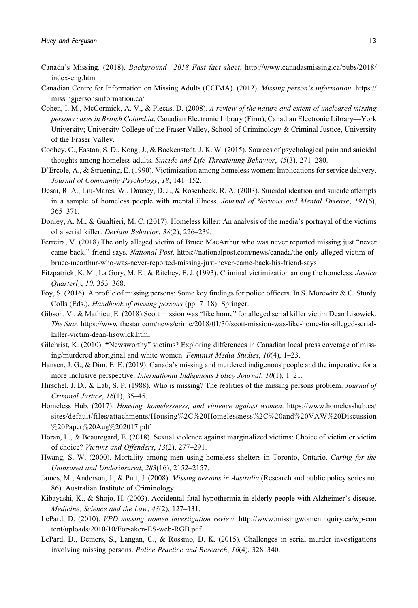- Canada's Missing. (2018). Background—2018 Fast fact sheet. [http://www.canadasmissing.ca/pubs/2018/](http://www.canadasmissing.ca/pubs/2018/index-eng.htm) [index-eng.htm](http://www.canadasmissing.ca/pubs/2018/index-eng.htm)
- Canadian Centre for Information on Missing Adults (CCIMA). (2012). Missing person's information. [https://](https://missingpersonsinformation.ca/) [missingpersonsinformation.ca/](https://missingpersonsinformation.ca/)
- Cohen, I. M., McCormick, A. V., & Plecas, D. (2008). A review of the nature and extent of uncleared missing persons cases in British Columbia. Canadian Electronic Library (Firm), Canadian Electronic Library—York University; University College of the Fraser Valley, School of Criminology & Criminal Justice, University of the Fraser Valley.
- Coohey, C., Easton, S. D., Kong, J., & Bockenstedt, J. K. W. (2015). Sources of psychological pain and suicidal thoughts among homeless adults. Suicide and Life-Threatening Behavior, 45(3), 271–280.
- D'Ercole, A., & Struening, E. (1990). Victimization among homeless women: Implications for service delivery. Journal of Community Psychology, 18, 141–152.
- Desai, R. A., Liu-Mares, W., Dausey, D. J., & Rosenheck, R. A. (2003). Suicidal ideation and suicide attempts in a sample of homeless people with mental illness. Journal of Nervous and Mental Disease, 191(6), 365–371.
- Donley, A. M., & Gualtieri, M. C. (2017). Homeless killer: An analysis of the media's portrayal of the victims of a serial killer. Deviant Behavior, 38(2), 226–239.
- Ferreira, V. (2018).The only alleged victim of Bruce MacArthur who was never reported missing just "never came back," friend says. National Post. [https://nationalpost.com/news/canada/the-only-alleged-victim-of](https://nationalpost.com/news/canada/the-only-alleged-victim-of-bruce-mcarthur-who-was-never-reported-missing-just-never-came-back-his-friend-says)[bruce-mcarthur-who-was-never-reported-missing-just-never-came-back-his-friend-says](https://nationalpost.com/news/canada/the-only-alleged-victim-of-bruce-mcarthur-who-was-never-reported-missing-just-never-came-back-his-friend-says)
- Fitzpatrick, K. M., La Gory, M. E., & Ritchey, F. J. (1993). Criminal victimization among the homeless. Justice Quarterly, 10, 353–368.
- Foy, S. (2016). A profile of missing persons: Some key findings for police officers. In S. Morewitz & C. Sturdy Colls (Eds.), Handbook of missing persons (pp. 7–18). Springer.
- Gibson, V., & Mathieu, E. (2018).Scott mission was "like home" for alleged serial killer victim Dean Lisowick. The Star. [https://www.thestar.com/news/crime/2018/01/30/scott-mission-was-like-home-for-alleged-serial](https://www.thestar.com/news/crime/2018/01/30/scott-mission-was-like-home-for-alleged-serial-killer-victim-dean-lisowick.html)[killer-victim-dean-lisowick.html](https://www.thestar.com/news/crime/2018/01/30/scott-mission-was-like-home-for-alleged-serial-killer-victim-dean-lisowick.html)
- Gilchrist, K. (2010). "Newsworthy" victims? Exploring differences in Canadian local press coverage of missing/murdered aboriginal and white women. Feminist Media Studies, 10(4), 1–23.
- Hansen, J. G., & Dim, E. E. (2019). Canada's missing and murdered indigenous people and the imperative for a more inclusive perspective. International Indigenous Policy Journal, 10(1), 1-21.
- Hirschel, J. D., & Lab, S. P. (1988). Who is missing? The realities of the missing persons problem. Journal of Criminal Justice, 16(1), 35–45.
- Homeless Hub. (2017). Housing, homelessness, and violence against women. [https://www.homelesshub.ca/](https://www.homelesshub.ca/sites/default/files/attachments/Housing%2C%20Homelessness%2C%20and%20VAW%20Discussion%20Paper%20Aug%202017.pdf) [sites/default/files/attachments/Housing](https://www.homelesshub.ca/sites/default/files/attachments/Housing%2C%20Homelessness%2C%20and%20VAW%20Discussion%20Paper%20Aug%202017.pdf)%[2C](https://www.homelesshub.ca/sites/default/files/attachments/Housing%2C%20Homelessness%2C%20and%20VAW%20Discussion%20Paper%20Aug%202017.pdf)%[20Homelessness](https://www.homelesshub.ca/sites/default/files/attachments/Housing%2C%20Homelessness%2C%20and%20VAW%20Discussion%20Paper%20Aug%202017.pdf)%[2C](https://www.homelesshub.ca/sites/default/files/attachments/Housing%2C%20Homelessness%2C%20and%20VAW%20Discussion%20Paper%20Aug%202017.pdf)%[20and](https://www.homelesshub.ca/sites/default/files/attachments/Housing%2C%20Homelessness%2C%20and%20VAW%20Discussion%20Paper%20Aug%202017.pdf)%[20VAW](https://www.homelesshub.ca/sites/default/files/attachments/Housing%2C%20Homelessness%2C%20and%20VAW%20Discussion%20Paper%20Aug%202017.pdf)%[20Discussion](https://www.homelesshub.ca/sites/default/files/attachments/Housing%2C%20Homelessness%2C%20and%20VAW%20Discussion%20Paper%20Aug%202017.pdf) %[20Paper](https://www.homelesshub.ca/sites/default/files/attachments/Housing%2C%20Homelessness%2C%20and%20VAW%20Discussion%20Paper%20Aug%202017.pdf)%[20Aug](https://www.homelesshub.ca/sites/default/files/attachments/Housing%2C%20Homelessness%2C%20and%20VAW%20Discussion%20Paper%20Aug%202017.pdf)%[202017.pdf](https://www.homelesshub.ca/sites/default/files/attachments/Housing%2C%20Homelessness%2C%20and%20VAW%20Discussion%20Paper%20Aug%202017.pdf)
- Horan, L., & Beauregard, E. (2018). Sexual violence against marginalized victims: Choice of victim or victim of choice? Victims and Offenders, 13(2), 277–291.
- Hwang, S. W. (2000). Mortality among men using homeless shelters in Toronto, Ontario. Caring for the Uninsured and Underinsured, 283(16), 2152–2157.
- James, M., Anderson, J., & Putt, J. (2008). *Missing persons in Australia* (Research and public policy series no. 86). Australian Institute of Criminology.
- Kibayashi, K., & Shojo, H. (2003). Accidental fatal hypothermia in elderly people with Alzheimer's disease. Medicine, Science and the Law, 43(2), 127–131.
- LePard, D. (2010). VPD missing women investigation review. [http://www.missingwomeninquiry.ca/wp-con](http://www.missingwomeninquiry.ca/wp-content/uploads/2010/10/Forsaken-ES-web-RGB.pdf) [tent/uploads/2010/10/Forsaken-ES-web-RGB.pdf](http://www.missingwomeninquiry.ca/wp-content/uploads/2010/10/Forsaken-ES-web-RGB.pdf)
- LePard, D., Demers, S., Langan, C., & Rossmo, D. K. (2015). Challenges in serial murder investigations involving missing persons. Police Practice and Research, 16(4), 328–340.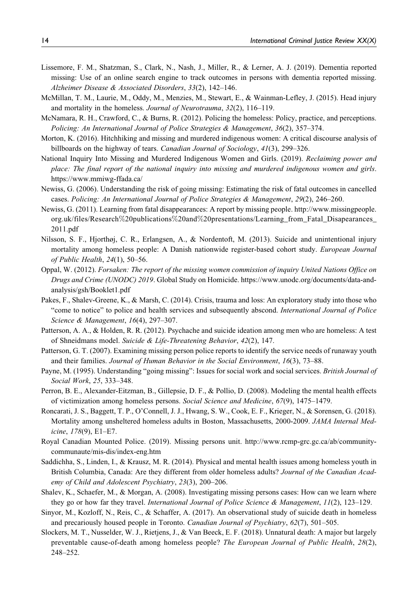- Lissemore, F. M., Shatzman, S., Clark, N., Nash, J., Miller, R., & Lerner, A. J. (2019). Dementia reported missing: Use of an online search engine to track outcomes in persons with dementia reported missing. Alzheimer Disease & Associated Disorders, 33(2), 142–146.
- McMillan, T. M., Laurie, M., Oddy, M., Menzies, M., Stewart, E., & Wainman-Lefley, J. (2015). Head injury and mortality in the homeless. Journal of Neurotrauma, 32(2), 116–119.
- McNamara, R. H., Crawford, C., & Burns, R. (2012). Policing the homeless: Policy, practice, and perceptions. Policing: An International Journal of Police Strategies & Management, 36(2), 357–374.
- Morton, K. (2016). Hitchhiking and missing and murdered indigenous women: A critical discourse analysis of billboards on the highway of tears. Canadian Journal of Sociology, 41(3), 299–326.
- National Inquiry Into Missing and Murdered Indigenous Women and Girls. (2019). Reclaiming power and place: The final report of the national inquiry into missing and murdered indigenous women and girls. <https://www.mmiwg-ffada.ca/>
- Newiss, G. (2006). Understanding the risk of going missing: Estimating the risk of fatal outcomes in cancelled cases. Policing: An International Journal of Police Strategies & Management, 29(2), 246–260.
- Newiss, G. (2011). Learning from fatal disappearances: A report by missing people. [http://www.missingpeople.](http://www.missingpeople.org.uk/files/Research%20publications%20and%20presentations/Learning_from_Fatal_Disapearances_2011.pdf) [org.uk/files/Research](http://www.missingpeople.org.uk/files/Research%20publications%20and%20presentations/Learning_from_Fatal_Disapearances_2011.pdf)%[20publications](http://www.missingpeople.org.uk/files/Research%20publications%20and%20presentations/Learning_from_Fatal_Disapearances_2011.pdf)%[20and](http://www.missingpeople.org.uk/files/Research%20publications%20and%20presentations/Learning_from_Fatal_Disapearances_2011.pdf)%[20presentations/Learning\\_from\\_Fatal\\_Disapearances\\_](http://www.missingpeople.org.uk/files/Research%20publications%20and%20presentations/Learning_from_Fatal_Disapearances_2011.pdf) [2011.pdf](http://www.missingpeople.org.uk/files/Research%20publications%20and%20presentations/Learning_from_Fatal_Disapearances_2011.pdf)
- Nilsson, S. F., Hjorthøj, C. R., Erlangsen, A., & Nordentoft, M. (2013). Suicide and unintentional injury mortality among homeless people: A Danish nationwide register-based cohort study. European Journal of Public Health, 24(1), 50–56.
- Oppal, W. (2012). Forsaken: The report of the missing women commission of inquiry United Nations Office on Drugs and Crime (UNODC) 2019. Global Study on Homicide. [https://www.unodc.org/documents/data-and](https://www.unodc.org/documents/data-and-analysis/gsh/Booklet1.pdf)[analysis/gsh/Booklet1.pdf](https://www.unodc.org/documents/data-and-analysis/gsh/Booklet1.pdf)
- Pakes, F., Shalev-Greene, K., & Marsh, C. (2014). Crisis, trauma and loss: An exploratory study into those who "come to notice" to police and health services and subsequently abscond. International Journal of Police Science & Management, 16(4), 297–307.
- Patterson, A. A., & Holden, R. R. (2012). Psychache and suicide ideation among men who are homeless: A test of Shneidmans model. Suicide & Life-Threatening Behavior, 42(2), 147.
- Patterson, G. T. (2007). Examining missing person police reports to identify the service needs of runaway youth and their families. Journal of Human Behavior in the Social Environment, 16(3), 73–88.
- Payne, M. (1995). Understanding "going missing": Issues for social work and social services. British Journal of Social Work, 25, 333–348.
- Perron, B. E., Alexander-Eitzman, B., Gillepsie, D. F., & Pollio, D. (2008). Modeling the mental health effects of victimization among homeless persons. Social Science and Medicine, 67(9), 1475–1479.
- Roncarati, J. S., Baggett, T. P., O'Connell, J. J., Hwang, S. W., Cook, E. F., Krieger, N., & Sorensen, G. (2018). Mortality among unsheltered homeless adults in Boston, Massachusetts, 2000-2009. JAMA Internal Medicine, 178(9), E1–E7.
- Royal Canadian Mounted Police. (2019). Missing persons unit. [http://www.rcmp-grc.gc.ca/ab/community](http://www.rcmp-grc.gc.ca/ab/community-communaute/mis-dis/index-eng.htm)[communaute/mis-dis/index-eng.htm](http://www.rcmp-grc.gc.ca/ab/community-communaute/mis-dis/index-eng.htm)
- Saddichha, S., Linden, I., & Krausz, M. R. (2014). Physical and mental health issues among homeless youth in British Columbia, Canada: Are they different from older homeless adults? Journal of the Canadian Academy of Child and Adolescent Psychiatry, 23(3), 200–206.
- Shalev, K., Schaefer, M., & Morgan, A. (2008). Investigating missing persons cases: How can we learn where they go or how far they travel. International Journal of Police Science & Management, 11(2), 123–129.
- Sinyor, M., Kozloff, N., Reis, C., & Schaffer, A. (2017). An observational study of suicide death in homeless and precariously housed people in Toronto. Canadian Journal of Psychiatry, 62(7), 501–505.
- Slockers, M. T., Nusselder, W. J., Rietjens, J., & Van Beeck, E. F. (2018). Unnatural death: A major but largely preventable cause-of-death among homeless people? The European Journal of Public Health, 28(2), 248–252.